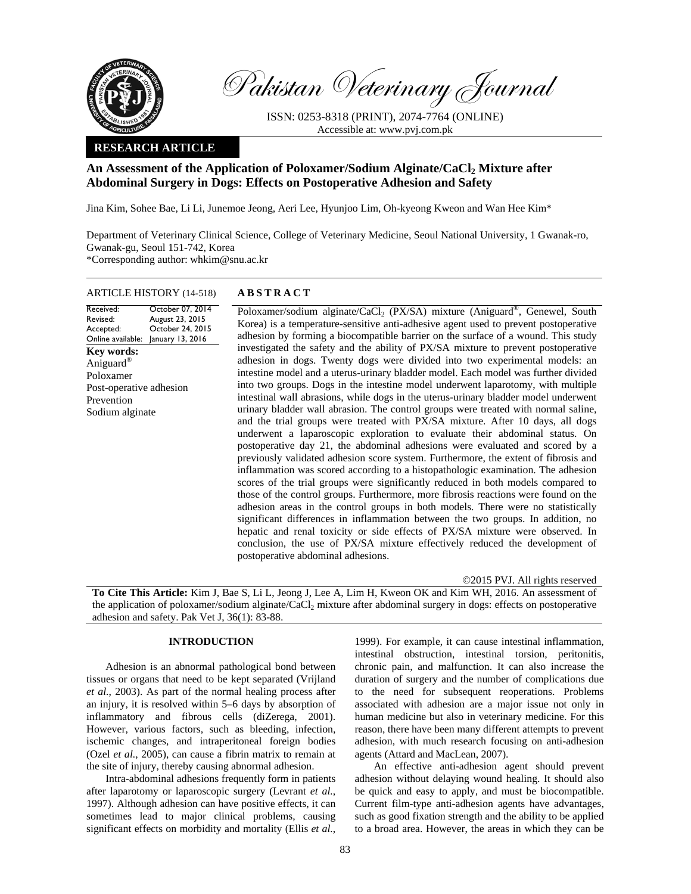

Pakistan Veterinary Journal

ISSN: 0253-8318 (PRINT), 2074-7764 (ONLINE) Accessible at: www.pvj.com.pk

### **RESEARCH ARTICLE**

# **An Assessment of the Application of Poloxamer/Sodium Alginate/CaCl2 Mixture after Abdominal Surgery in Dogs: Effects on Postoperative Adhesion and Safety**

Jina Kim, Sohee Bae, Li Li, Junemoe Jeong, Aeri Lee, Hyunjoo Lim, Oh-kyeong Kweon and Wan Hee Kim\*

Department of Veterinary Clinical Science, College of Veterinary Medicine, Seoul National University, 1 Gwanak-ro, Gwanak-gu, Seoul 151-742, Korea \*Corresponding author: whkim@snu.ac.kr

#### ARTICLE HISTORY (14-518) **ABSTRACT**

#### Received: Revised: Accepted: Online available: October 07, 2014 August 23, 2015 October 24, 2015 January 13, 2016 **Key words:**  Aniguard® Poloxamer Post-operative adhesion Prevention Sodium alginate

Poloxamer/sodium alginate/CaCl<sub>2</sub> (PX/SA) mixture (Aniguard<sup>®</sup>, Genewel, South Korea) is a temperature-sensitive anti-adhesive agent used to prevent postoperative

adhesion by forming a biocompatible barrier on the surface of a wound. This study investigated the safety and the ability of PX/SA mixture to prevent postoperative adhesion in dogs. Twenty dogs were divided into two experimental models: an intestine model and a uterus-urinary bladder model. Each model was further divided into two groups. Dogs in the intestine model underwent laparotomy, with multiple intestinal wall abrasions, while dogs in the uterus-urinary bladder model underwent urinary bladder wall abrasion. The control groups were treated with normal saline, and the trial groups were treated with PX/SA mixture. After 10 days, all dogs underwent a laparoscopic exploration to evaluate their abdominal status. On postoperative day 21, the abdominal adhesions were evaluated and scored by a previously validated adhesion score system. Furthermore, the extent of fibrosis and inflammation was scored according to a histopathologic examination. The adhesion scores of the trial groups were significantly reduced in both models compared to those of the control groups. Furthermore, more fibrosis reactions were found on the adhesion areas in the control groups in both models. There were no statistically significant differences in inflammation between the two groups. In addition, no hepatic and renal toxicity or side effects of PX/SA mixture were observed. In conclusion, the use of PX/SA mixture effectively reduced the development of postoperative abdominal adhesions.

©2015 PVJ. All rights reserved **To Cite This Article:** Kim J, Bae S, Li L, Jeong J, Lee A, Lim H, Kweon OK and Kim WH, 2016. An assessment of the application of poloxamer/sodium alginate/CaCl2 mixture after abdominal surgery in dogs: effects on postoperative adhesion and safety. Pak Vet J, 36(1): 83-88.

#### **INTRODUCTION**

Adhesion is an abnormal pathological bond between tissues or organs that need to be kept separated (Vrijland *et al.*, 2003). As part of the normal healing process after an injury, it is resolved within 5–6 days by absorption of inflammatory and fibrous cells (diZerega, 2001). However, various factors, such as bleeding, infection, ischemic changes, and intraperitoneal foreign bodies (Ozel *et al.*, 2005), can cause a fibrin matrix to remain at the site of injury, thereby causing abnormal adhesion.

Intra-abdominal adhesions frequently form in patients after laparotomy or laparoscopic surgery (Levrant *et al.*, 1997). Although adhesion can have positive effects, it can sometimes lead to major clinical problems, causing significant effects on morbidity and mortality (Ellis *et al.*,

1999). For example, it can cause intestinal inflammation, intestinal obstruction, intestinal torsion, peritonitis, chronic pain, and malfunction. It can also increase the duration of surgery and the number of complications due to the need for subsequent reoperations. Problems associated with adhesion are a major issue not only in human medicine but also in veterinary medicine. For this reason, there have been many different attempts to prevent adhesion, with much research focusing on anti-adhesion agents (Attard and MacLean, 2007).

An effective anti-adhesion agent should prevent adhesion without delaying wound healing. It should also be quick and easy to apply, and must be biocompatible. Current film-type anti-adhesion agents have advantages, such as good fixation strength and the ability to be applied to a broad area. However, the areas in which they can be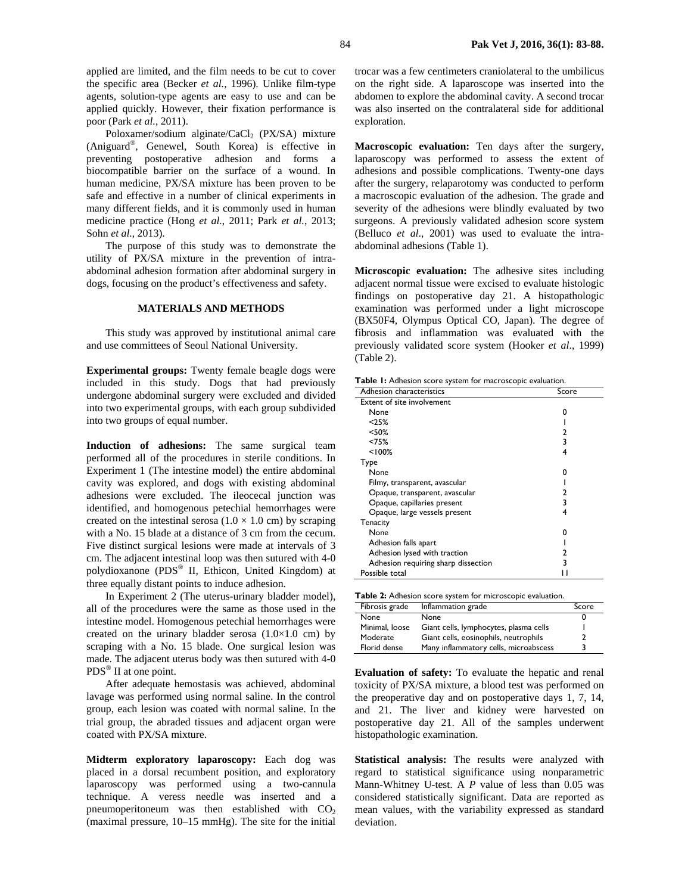applied are limited, and the film needs to be cut to cover the specific area (Becker *et al.*, 1996). Unlike film-type agents, solution-type agents are easy to use and can be applied quickly. However, their fixation performance is poor (Park *et al.*, 2011).

Poloxamer/sodium alginate/CaCl<sub>2</sub> (PX/SA) mixture (Aniguard®, Genewel, South Korea) is effective in preventing postoperative adhesion and forms a biocompatible barrier on the surface of a wound. In human medicine, PX/SA mixture has been proven to be safe and effective in a number of clinical experiments in many different fields, and it is commonly used in human medicine practice (Hong *et al.*, 2011; Park *et al.*, 2013; Sohn *et al.*, 2013).

The purpose of this study was to demonstrate the utility of PX/SA mixture in the prevention of intraabdominal adhesion formation after abdominal surgery in dogs, focusing on the product's effectiveness and safety.

## **MATERIALS AND METHODS**

This study was approved by institutional animal care and use committees of Seoul National University.

**Experimental groups:** Twenty female beagle dogs were included in this study. Dogs that had previously undergone abdominal surgery were excluded and divided into two experimental groups, with each group subdivided into two groups of equal number.

**Induction of adhesions:** The same surgical team performed all of the procedures in sterile conditions. In Experiment 1 (The intestine model) the entire abdominal cavity was explored, and dogs with existing abdominal adhesions were excluded. The ileocecal junction was identified, and homogenous petechial hemorrhages were created on the intestinal serosa  $(1.0 \times 1.0 \text{ cm})$  by scraping with a No. 15 blade at a distance of 3 cm from the cecum. Five distinct surgical lesions were made at intervals of 3 cm. The adjacent intestinal loop was then sutured with 4-0 polydioxanone (PDS® II, Ethicon, United Kingdom) at three equally distant points to induce adhesion.

In Experiment 2 (The uterus-urinary bladder model), all of the procedures were the same as those used in the intestine model. Homogenous petechial hemorrhages were created on the urinary bladder serosa  $(1.0\times1.0$  cm) by scraping with a No. 15 blade. One surgical lesion was made. The adjacent uterus body was then sutured with 4-0 PDS® II at one point.

After adequate hemostasis was achieved, abdominal lavage was performed using normal saline. In the control group, each lesion was coated with normal saline. In the trial group, the abraded tissues and adjacent organ were coated with PX/SA mixture.

**Midterm exploratory laparoscopy:** Each dog was placed in a dorsal recumbent position, and exploratory laparoscopy was performed using a two-cannula technique. A veress needle was inserted and a pneumoperitoneum was then established with  $CO<sub>2</sub>$ (maximal pressure, 10–15 mmHg). The site for the initial

trocar was a few centimeters craniolateral to the umbilicus on the right side. A laparoscope was inserted into the abdomen to explore the abdominal cavity. A second trocar was also inserted on the contralateral side for additional exploration.

**Macroscopic evaluation:** Ten days after the surgery, laparoscopy was performed to assess the extent of adhesions and possible complications. Twenty-one days after the surgery, relaparotomy was conducted to perform a macroscopic evaluation of the adhesion. The grade and severity of the adhesions were blindly evaluated by two surgeons. A previously validated adhesion score system (Belluco *et al*., 2001) was used to evaluate the intraabdominal adhesions (Table 1).

**Microscopic evaluation:** The adhesive sites including adjacent normal tissue were excised to evaluate histologic findings on postoperative day 21. A histopathologic examination was performed under a light microscope (BX50F4, Olympus Optical CO, Japan). The degree of fibrosis and inflammation was evaluated with the previously validated score system (Hooker *et al*., 1999) (Table 2).

**Table 1:** Adhesion score system for macroscopic evaluation.

| Adhesion characteristics            | Score |  |  |
|-------------------------------------|-------|--|--|
| <b>Extent of site involvement</b>   |       |  |  |
| None                                | 0     |  |  |
| < 25%                               |       |  |  |
| < 50%                               |       |  |  |
| <75%                                | 3     |  |  |
| < 100%                              | 4     |  |  |
| Type                                |       |  |  |
| None                                | n     |  |  |
| Filmy, transparent, avascular       |       |  |  |
| Opaque, transparent, avascular      |       |  |  |
| Opaque, capillaries present         | 3     |  |  |
| Opaque, large vessels present       | 4     |  |  |
| Tenacity                            |       |  |  |
| None                                | o     |  |  |
| Adhesion falls apart                |       |  |  |
| Adhesion lysed with traction        |       |  |  |
| Adhesion requiring sharp dissection | 3     |  |  |
| Possible total                      |       |  |  |
|                                     |       |  |  |

| Table 2: Adhesion score system for microscopic evaluation. |  |
|------------------------------------------------------------|--|
|------------------------------------------------------------|--|

| Fibrosis grade | Inflammation grade                     | Score |
|----------------|----------------------------------------|-------|
| None           | None                                   |       |
| Minimal, loose | Giant cells, lymphocytes, plasma cells |       |
| Moderate       | Giant cells, eosinophils, neutrophils  |       |
| Florid dense   | Many inflammatory cells, microabscess  |       |

**Evaluation of safety:** To evaluate the hepatic and renal toxicity of PX/SA mixture, a blood test was performed on the preoperative day and on postoperative days 1, 7, 14, and 21. The liver and kidney were harvested on postoperative day 21. All of the samples underwent histopathologic examination.

**Statistical analysis:** The results were analyzed with regard to statistical significance using nonparametric Mann-Whitney U-test. A *P* value of less than 0.05 was considered statistically significant. Data are reported as mean values, with the variability expressed as standard deviation.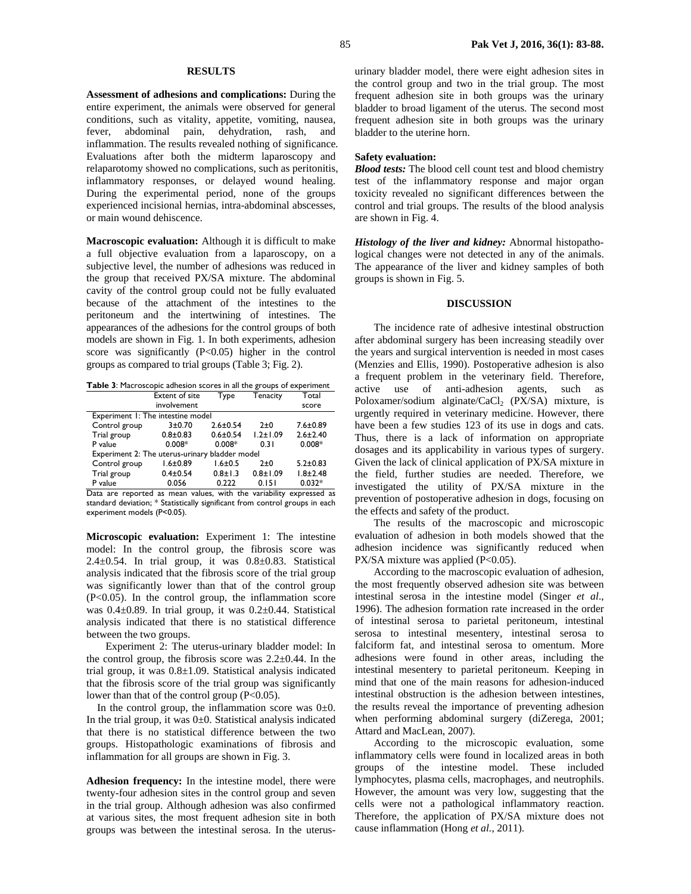**Assessment of adhesions and complications:** During the entire experiment, the animals were observed for general conditions, such as vitality, appetite, vomiting, nausea, fever, abdominal pain, dehydration, rash, and inflammation. The results revealed nothing of significance. Evaluations after both the midterm laparoscopy and relaparotomy showed no complications, such as peritonitis, inflammatory responses, or delayed wound healing. During the experimental period, none of the groups experienced incisional hernias, intra-abdominal abscesses, or main wound dehiscence.

**Macroscopic evaluation:** Although it is difficult to make a full objective evaluation from a laparoscopy, on a subjective level, the number of adhesions was reduced in the group that received PX/SA mixture. The abdominal cavity of the control group could not be fully evaluated because of the attachment of the intestines to the peritoneum and the intertwining of intestines. The appearances of the adhesions for the control groups of both models are shown in Fig. 1. In both experiments, adhesion score was significantly  $(P<0.05)$  higher in the control groups as compared to trial groups (Table 3; Fig. 2).

| Table 3: Macroscopic adhesion scores in all the groups of experiment |  |
|----------------------------------------------------------------------|--|
|----------------------------------------------------------------------|--|

|                                                | Extent of site | Type           | Tenacity       | Total          |  |
|------------------------------------------------|----------------|----------------|----------------|----------------|--|
|                                                | involvement    |                |                | score          |  |
| Experiment 1: The intestine model              |                |                |                |                |  |
| Control group                                  | $3 + 0.70$     | $2.6 \pm 0.54$ | $2\pm 0$       | $7.6 \pm 0.89$ |  |
| Trial group                                    | $0.8 + 0.83$   | $0.6 \pm 0.54$ | $1.2 \pm 1.09$ | $2.6 \pm 2.40$ |  |
| P value                                        | $0.008*$       | $0.008*$       | 0.31           | $0.008*$       |  |
| Experiment 2: The uterus-urinary bladder model |                |                |                |                |  |
| Control group                                  | $1.6 \pm 0.89$ | $1.6 + 0.5$    | $2\pm 0$       | $5.2 \pm 0.83$ |  |
| Trial group                                    | $0.4 \pm 0.54$ | $0.8 \pm 1.3$  | $0.8 + 1.09$   | $1.8 + 2.48$   |  |
| P value                                        | 0.056          | 0.222          | 0.151          | $0.032*$       |  |

Data are reported as mean values, with the variability expressed as standard deviation; \* Statistically significant from control groups in each experiment models (P<0.05).

**Microscopic evaluation:** Experiment 1: The intestine model: In the control group, the fibrosis score was 2.4 $\pm$ 0.54. In trial group, it was 0.8 $\pm$ 0.83. Statistical analysis indicated that the fibrosis score of the trial group was significantly lower than that of the control group  $(P<0.05)$ . In the control group, the inflammation score was 0.4±0.89. In trial group, it was 0.2±0.44. Statistical analysis indicated that there is no statistical difference between the two groups.

Experiment 2: The uterus-urinary bladder model: In the control group, the fibrosis score was  $2.2\pm0.44$ . In the trial group, it was 0.8±1.09. Statistical analysis indicated that the fibrosis score of the trial group was significantly lower than that of the control group (P<0.05).

In the control group, the inflammation score was  $0\pm 0$ . In the trial group, it was  $0±0$ . Statistical analysis indicated that there is no statistical difference between the two groups. Histopathologic examinations of fibrosis and inflammation for all groups are shown in Fig. 3.

**Adhesion frequency:** In the intestine model, there were twenty-four adhesion sites in the control group and seven in the trial group. Although adhesion was also confirmed at various sites, the most frequent adhesion site in both groups was between the intestinal serosa. In the uterusurinary bladder model, there were eight adhesion sites in the control group and two in the trial group. The most frequent adhesion site in both groups was the urinary bladder to broad ligament of the uterus. The second most frequent adhesion site in both groups was the urinary bladder to the uterine horn.

#### **Safety evaluation:**

*Blood tests:* The blood cell count test and blood chemistry test of the inflammatory response and major organ toxicity revealed no significant differences between the control and trial groups. The results of the blood analysis are shown in Fig. 4.

*Histology of the liver and kidney:* Abnormal histopathological changes were not detected in any of the animals. The appearance of the liver and kidney samples of both groups is shown in Fig. 5.

#### **DISCUSSION**

The incidence rate of adhesive intestinal obstruction after abdominal surgery has been increasing steadily over the years and surgical intervention is needed in most cases (Menzies and Ellis, 1990). Postoperative adhesion is also a frequent problem in the veterinary field. Therefore, active use of anti-adhesion agents, such as Poloxamer/sodium alginate/CaCl<sub>2</sub> (PX/SA) mixture, is urgently required in veterinary medicine. However, there have been a few studies 123 of its use in dogs and cats. Thus, there is a lack of information on appropriate dosages and its applicability in various types of surgery. Given the lack of clinical application of PX/SA mixture in the field, further studies are needed. Therefore, we investigated the utility of PX/SA mixture in the prevention of postoperative adhesion in dogs, focusing on the effects and safety of the product.

The results of the macroscopic and microscopic evaluation of adhesion in both models showed that the adhesion incidence was significantly reduced when PX/SA mixture was applied (P<0.05).

According to the macroscopic evaluation of adhesion, the most frequently observed adhesion site was between intestinal serosa in the intestine model (Singer *et al*., 1996). The adhesion formation rate increased in the order of intestinal serosa to parietal peritoneum, intestinal serosa to intestinal mesentery, intestinal serosa to falciform fat, and intestinal serosa to omentum. More adhesions were found in other areas, including the intestinal mesentery to parietal peritoneum. Keeping in mind that one of the main reasons for adhesion-induced intestinal obstruction is the adhesion between intestines, the results reveal the importance of preventing adhesion when performing abdominal surgery (diZerega, 2001; Attard and MacLean, 2007).

According to the microscopic evaluation, some inflammatory cells were found in localized areas in both groups of the intestine model. These included lymphocytes, plasma cells, macrophages, and neutrophils. However, the amount was very low, suggesting that the cells were not a pathological inflammatory reaction. Therefore, the application of PX/SA mixture does not cause inflammation (Hong *et al.*, 2011).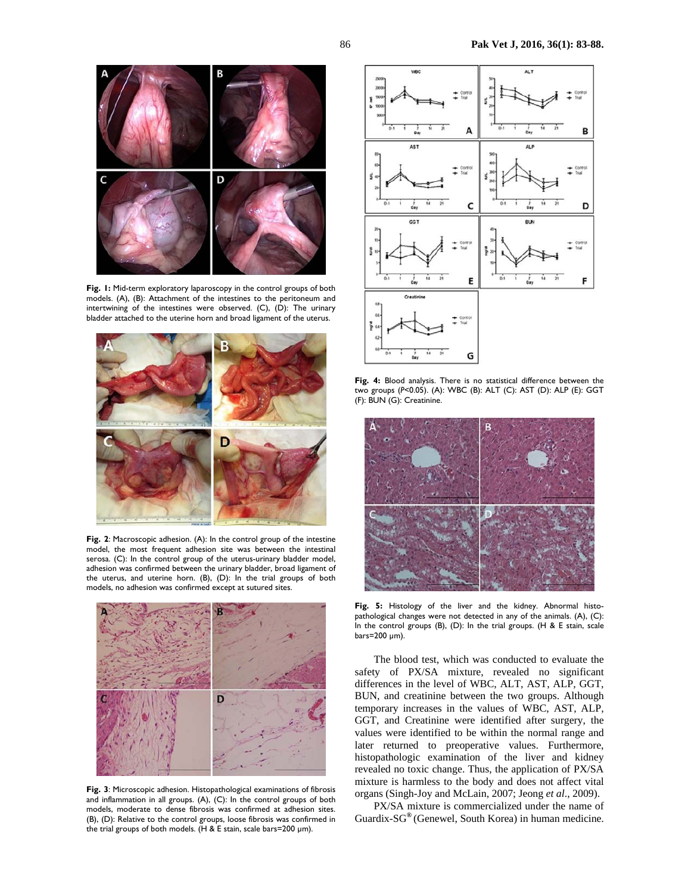

**Fig. 1:** Mid-term exploratory laparoscopy in the control groups of both models. (A), (B): Attachment of the intestines to the peritoneum and intertwining of the intestines were observed. (C), (D): The urinary bladder attached to the uterine horn and broad ligament of the uterus.



**Fig. 2**: Macroscopic adhesion. (A): In the control group of the intestine model, the most frequent adhesion site was between the intestinal serosa. (C): In the control group of the uterus-urinary bladder model, adhesion was confirmed between the urinary bladder, broad ligament of the uterus, and uterine horn. (B), (D): In the trial groups of both models, no adhesion was confirmed except at sutured sites.



**Fig. 3**: Microscopic adhesion. Histopathological examinations of fibrosis and inflammation in all groups. (A), (C): In the control groups of both models, moderate to dense fibrosis was confirmed at adhesion sites. (B), (D): Relative to the control groups, loose fibrosis was confirmed in the trial groups of both models. (H & E stain, scale bars=200 µm).



**Fig. 4:** Blood analysis. There is no statistical difference between the two groups (*P*<0.05). (A): WBC (B): ALT (C): AST (D): ALP (E): GGT (F): BUN (G): Creatinine.



**Fig. 5:** Histology of the liver and the kidney. Abnormal histopathological changes were not detected in any of the animals. (A), (C): In the control groups (B), (D): In the trial groups. (H & E stain, scale bars=200 µm).

The blood test, which was conducted to evaluate the safety of PX/SA mixture, revealed no significant differences in the level of WBC, ALT, AST, ALP, GGT, BUN, and creatinine between the two groups. Although temporary increases in the values of WBC, AST, ALP, GGT, and Creatinine were identified after surgery, the values were identified to be within the normal range and later returned to preoperative values. Furthermore, histopathologic examination of the liver and kidney revealed no toxic change. Thus, the application of PX/SA mixture is harmless to the body and does not affect vital organs (Singh-Joy and McLain, 2007; Jeong *et al*., 2009).

PX/SA mixture is commercialized under the name of Guardix-SG**®** (Genewel, South Korea) in human medicine.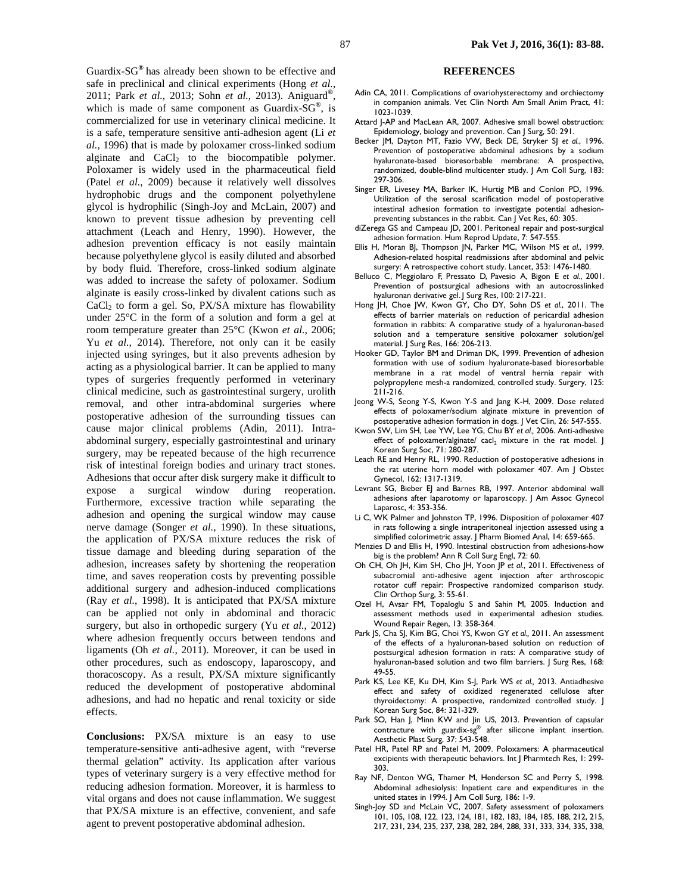Guardix-SG**®** has already been shown to be effective and safe in preclinical and clinical experiments (Hong *et al.*, 2011; Park *et al.*, 2013; Sohn *et al.*, 2013). Aniguard**®**, which is made of same component as Guardix-SG**®**, is commercialized for use in veterinary clinical medicine. It is a safe, temperature sensitive anti-adhesion agent (Li *et al.*, 1996) that is made by poloxamer cross-linked sodium alginate and  $CaCl<sub>2</sub>$  to the biocompatible polymer. Poloxamer is widely used in the pharmaceutical field (Patel *et al.*, 2009) because it relatively well dissolves hydrophobic drugs and the component polyethylene glycol is hydrophilic (Singh-Joy and McLain, 2007) and known to prevent tissue adhesion by preventing cell attachment (Leach and Henry, 1990). However, the adhesion prevention efficacy is not easily maintain because polyethylene glycol is easily diluted and absorbed by body fluid. Therefore, cross-linked sodium alginate was added to increase the safety of poloxamer. Sodium alginate is easily cross-linked by divalent cations such as  $CaCl<sub>2</sub>$  to form a gel. So, PX/SA mixture has flowability under 25°C in the form of a solution and form a gel at room temperature greater than 25°C (Kwon *et al.*, 2006; Yu *et al.*, 2014). Therefore, not only can it be easily injected using syringes, but it also prevents adhesion by acting as a physiological barrier. It can be applied to many types of surgeries frequently performed in veterinary clinical medicine, such as gastrointestinal surgery, urolith removal, and other intra-abdominal surgeries where postoperative adhesion of the surrounding tissues can cause major clinical problems (Adin, 2011). Intraabdominal surgery, especially gastrointestinal and urinary surgery, may be repeated because of the high recurrence risk of intestinal foreign bodies and urinary tract stones. Adhesions that occur after disk surgery make it difficult to expose a surgical window during reoperation. Furthermore, excessive traction while separating the adhesion and opening the surgical window may cause nerve damage (Songer *et al.*, 1990). In these situations, the application of PX/SA mixture reduces the risk of tissue damage and bleeding during separation of the adhesion, increases safety by shortening the reoperation time, and saves reoperation costs by preventing possible additional surgery and adhesion-induced complications (Ray *et al.*, 1998). It is anticipated that PX/SA mixture can be applied not only in abdominal and thoracic surgery, but also in orthopedic surgery (Yu *et al.*, 2012) where adhesion frequently occurs between tendons and ligaments (Oh *et al.*, 2011). Moreover, it can be used in other procedures, such as endoscopy, laparoscopy, and thoracoscopy. As a result, PX/SA mixture significantly reduced the development of postoperative abdominal adhesions, and had no hepatic and renal toxicity or side effects.

**Conclusions:** PX/SA mixture is an easy to use temperature-sensitive anti-adhesive agent, with "reverse thermal gelation" activity. Its application after various types of veterinary surgery is a very effective method for reducing adhesion formation. Moreover, it is harmless to vital organs and does not cause inflammation. We suggest that PX/SA mixture is an effective, convenient, and safe agent to prevent postoperative abdominal adhesion.

#### **REFERENCES**

- Adin CA, 2011. Complications of ovariohysterectomy and orchiectomy in companion animals. Vet Clin North Am Small Anim Pract, 41: 1023-1039.
- Attard J-AP and MacLean AR, 2007. Adhesive small bowel obstruction: Epidemiology, biology and prevention. Can J Surg, 50: 291.
- Becker JM, Dayton MT, Fazio VW, Beck DE, Stryker SJ *et al.*, 1996. Prevention of postoperative abdominal adhesions by a sodium hyaluronate-based bioresorbable membrane: A prospective, randomized, double-blind multicenter study. J Am Coll Surg, 183: 297-306.
- Singer ER, Livesey MA, Barker IK, Hurtig MB and Conlon PD, 1996. Utilization of the serosal scarification model of postoperative intestinal adhesion formation to investigate potential adhesionpreventing substances in the rabbit. Can J Vet Res, 60: 305.
- diZerega GS and Campeau JD, 2001. Peritoneal repair and post-surgical adhesion formation. Hum Reprod Update, 7: 547-555.
- Ellis H, Moran BJ, Thompson JN, Parker MC, Wilson MS *et al.*, 1999. Adhesion-related hospital readmissions after abdominal and pelvic surgery: A retrospective cohort study. Lancet, 353: 1476-1480.
- Belluco C, Meggiolaro F, Pressato D, Pavesio A, Bigon E *et al*., 2001. Prevention of postsurgical adhesions with an autocrosslinked hyaluronan derivative gel. J Surg Res, 100: 217-221.
- Hong JH, Choe JW, Kwon GY, Cho DY, Sohn DS *et al.*, 2011. The effects of barrier materials on reduction of pericardial adhesion formation in rabbits: A comparative study of a hyaluronan-based solution and a temperature sensitive poloxamer solution/gel material. J Surg Res, 166: 206-213.
- Hooker GD, Taylor BM and Driman DK, 1999. Prevention of adhesion formation with use of sodium hyaluronate-based bioresorbable membrane in a rat model of ventral hernia repair with polypropylene mesh-a randomized, controlled study. Surgery, 125: 211-216.
- Jeong W-S, Seong Y-S, Kwon Y-S and Jang K-H, 2009. Dose related effects of poloxamer/sodium alginate mixture in prevention of postoperative adhesion formation in dogs. J Vet Clin, 26: 547-555.
- Kwon SW, Lim SH, Lee YW, Lee YG, Chu BY *et al.,* 2006. Anti-adhesive effect of poloxamer/alginate/  $\text{calc}_2$  mixture in the rat model. J Korean Surg Soc, 71: 280-287.
- Leach RE and Henry RL, 1990. Reduction of postoperative adhesions in the rat uterine horn model with poloxamer 407. Am J Obstet Gynecol, 162: 1317-1319.
- Levrant SG, Bieber EJ and Barnes RB, 1997. Anterior abdominal wall adhesions after laparotomy or laparoscopy. J Am Assoc Gynecol Laparosc, 4: 353-356.
- Li C, WK Palmer and Johnston TP, 1996. Disposition of poloxamer 407 in rats following a single intraperitoneal injection assessed using a simplified colorimetric assay. | Pharm Biomed Anal, 14: 659-665.
- Menzies D and Ellis H, 1990. Intestinal obstruction from adhesions-how big is the problem? Ann R Coll Surg Engl, 72: 60.
- Oh CH, Oh JH, Kim SH, Cho JH, Yoon JP *et al.*, 2011. Effectiveness of subacromial anti-adhesive agent injection after arthroscopic rotator cuff repair: Prospective randomized comparison study. Clin Orthop Surg, 3: 55-61.
- Ozel H, Avsar FM, Topaloglu S and Sahin M, 2005. Induction and assessment methods used in experimental adhesion studies. Wound Repair Regen, 13: 358-364.
- Park JS, Cha SJ, Kim BG, Choi YS, Kwon GY *et al.,* 2011. An assessment of the effects of a hyaluronan-based solution on reduction of postsurgical adhesion formation in rats: A comparative study of hyaluronan-based solution and two film barriers. J Surg Res, 168: 49-55.
- Park KS, Lee KE, Ku DH, Kim S-J, Park WS *et al.,* 2013. Antiadhesive effect and safety of oxidized regenerated cellulose after thyroidectomy: A prospective, randomized controlled study. J Korean Surg Soc, 84: 321-329.
- Park SO, Han J, Minn KW and Jin US, 2013. Prevention of capsular contracture with guardix-sg® after silicone implant insertion. Aesthetic Plast Surg, 37: 543-548.
- Patel HR, Patel RP and Patel M, 2009. Poloxamers: A pharmaceutical excipients with therapeutic behaviors. Int J Pharmtech Res, 1: 299- 303.
- Ray NF, Denton WG, Thamer M, Henderson SC and Perry S, 1998. Abdominal adhesiolysis: Inpatient care and expenditures in the united states in 1994. J Am Coll Surg, 186: 1-9.
- Singh-Joy SD and McLain VC, 2007. Safety assessment of poloxamers 101, 105, 108, 122, 123, 124, 181, 182, 183, 184, 185, 188, 212, 215, 217, 231, 234, 235, 237, 238, 282, 284, 288, 331, 333, 334, 335, 338,